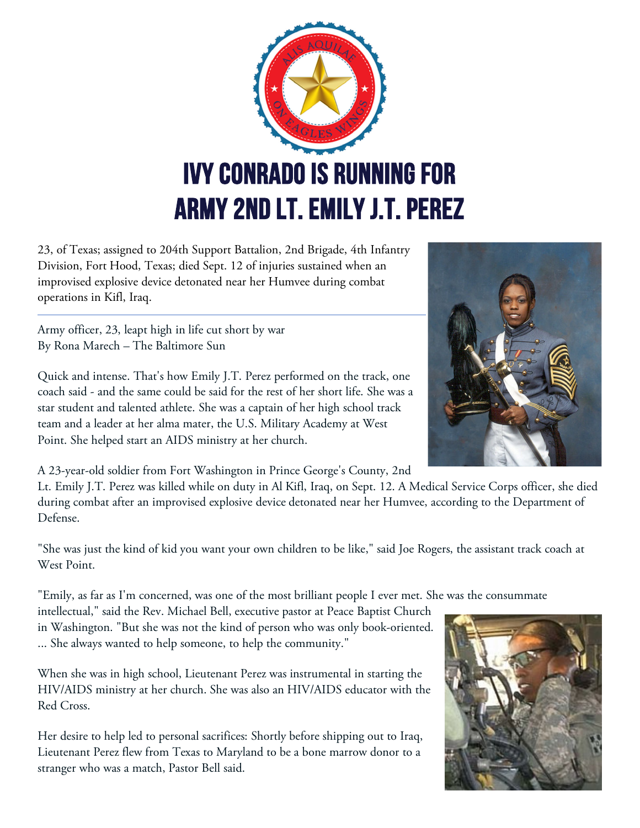

23, of Texas; assigned to 204th Support Battalion, 2nd Brigade, 4th Infantry Division, Fort Hood, Texas; died Sept. 12 of injuries sustained when an improvised explosive device detonated near her Humvee during combat operations in Kifl, Iraq.

Army officer, 23, leapt high in life cut short by war By Rona Marech – The Baltimore Sun

Quick and intense. That's how Emily J.T. Perez performed on the track, one coach said - and the same could be said for the rest of her short life. She was a star student and talented athlete. She was a captain of her high school track team and a leader at her alma mater, the U.S. Military Academy at West Point. She helped start an AIDS ministry at her church.

A 23-year-old soldier from Fort Washington in Prince George's County, 2nd

Lt. Emily J.T. Perez was killed while on duty in Al Kifl, Iraq, on Sept. 12. A Medical Service Corps officer, she died during combat after an improvised explosive device detonated near her Humvee, according to the Department of Defense.

"She was just the kind of kid you want your own children to be like," said Joe Rogers, the assistant track coach at West Point.

"Emily, as far as I'm concerned, was one of the most brilliant people I ever met. She was the consummate

intellectual," said the Rev. Michael Bell, executive pastor at Peace Baptist Church in Washington. "But she was not the kind of person who was only book-oriented. ... She always wanted to help someone, to help the community."

When she was in high school, Lieutenant Perez was instrumental in starting the HIV/AIDS ministry at her church. She was also an HIV/AIDS educator with the Red Cross.

Her desire to help led to personal sacrifices: Shortly before shipping out to Iraq, Lieutenant Perez flew from Texas to Maryland to be a bone marrow donor to a stranger who was a match, Pastor Bell said.